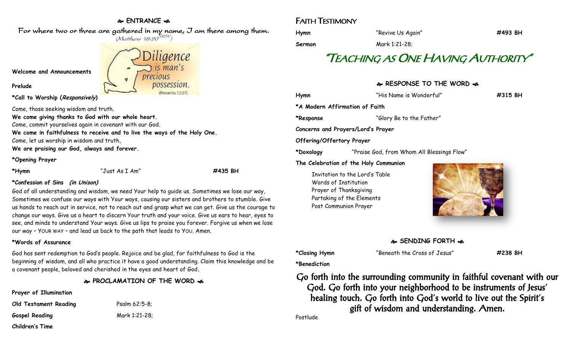## **ENTRANCE**

For where two or three are gathered in my name, I am there among them.  $(M$ atthew 18:20 $^{NRSV})$ 

**Welcome and Announcements** precious

**\*Call to Worship (Responsively)** 

Come, those seeking wisdom and truth.

**We come giving thanks to God with our whole heart.**

Come, commit yourselves again in covenant with our God.

**We come in faithfulness to receive and to live the ways of the Holy One.**

Come, let us worship in wisdom and truth,

**We are praising our God, always and forever.**

#### **\*Opening Prayer**

**Prelude**

**\*Hymn** "Just As I Am" **#435 BH**

#### **\*Confession of Sins (in Unison)**

God of all understanding and wisdom, we need Your help to guide us. Sometimes we lose our way, Sometimes we confuse our ways with Your ways, causing our sisters and brothers to stumble. Give us hands to reach out in service, not to reach out and grasp what we can get. Give us the courage to change our ways. Give us a heart to discern Your truth and your voice. Give us ears to hear, eyes to see, and minds to understand Your ways. Give us lips to praise you forever. Forgive us when we lose our way – YOUR WAY – and lead us back to the path that leads to YOU. Amen.

## **\*Words of Assurance**

God has sent redemption to God's people. Rejoice and be glad, for faithfulness to God is the beginning of wisdom, and all who practice it have a good understanding. Claim this knowledge and be a covenant people, beloved and cherished in the eyes and heart of God**.**

## **PROCLAMATION OF THE WORD**

**Old Testament Reading** Psalm 62:5-8;

**Gospel Reading** Mark 1:21-28;

**Prayer of Illumination**

| <b>Old Testament Reading</b> | Psalm |
|------------------------------|-------|
| <b>Gospel Reading</b>        | Mark  |
| Children's Time              |       |

Diligence  $is$  man's possession

# FAITH TESTIMONY

| Hymn   | "Revive Us Again" | #493 BH |
|--------|-------------------|---------|
| Sermon | Mark 1:21-28;     |         |

# "TEACHING AS ONE HAVING AUTHORITY"

## **RESPONSE TO THE WORD**

**Hymn** "His Name is Wonderful" **#315 BH \*A Modern Affirmation of Faith \*Response** "Glory Be to the Father" **Concerns and Prayers/Lord's Prayer Offering/Offertory Prayer \*Doxology** "Praise God, from Whom All Blessings Flow" **The Celebration of the Holy Communion** Invitation to the Lord's Table Words of Institution Prayer of Thanksgiving



**SENDING FORTH** 

**\*Closing Hymn** "Beneath the Cross of Jesus" **#238 BH**

**\*Benediction**

Partaking of the Elements Post Communion Prayer

Go forth into the surrounding community in faithful covenant with our God. Go forth into your neighborhood to be instruments of Jesus' healing touch. Go forth into God's world to live out the Spirit's gift of wisdom and understanding. Amen.

Postlude